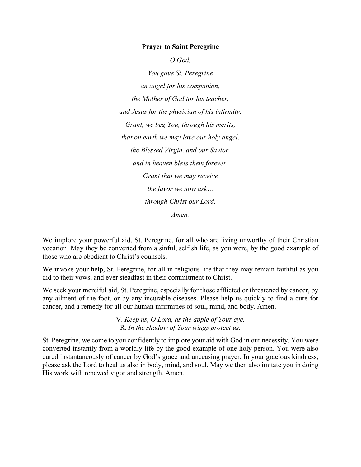### **Prayer to Saint Peregrine**

*O God,*

*You gave St. Peregrine an angel for his companion, the Mother of God for his teacher, and Jesus for the physician of his infirmity. Grant, we beg You, through his merits, that on earth we may love our holy angel, the Blessed Virgin, and our Savior, and in heaven bless them forever. Grant that we may receive the favor we now ask… through Christ our Lord. Amen.*

We implore your powerful aid, St. Peregrine, for all who are living unworthy of their Christian vocation. May they be converted from a sinful, selfish life, as you were, by the good example of those who are obedient to Christ's counsels.

We invoke your help, St. Peregrine, for all in religious life that they may remain faithful as you did to their vows, and ever steadfast in their commitment to Christ.

We seek your merciful aid, St. Peregrine, especially for those afflicted or threatened by cancer, by any ailment of the foot, or by any incurable diseases. Please help us quickly to find a cure for cancer, and a remedy for all our human infirmities of soul, mind, and body. Amen.

> V. *Keep us, O Lord, as the apple of Your eye.* R. *In the shadow of Your wings protect us.*

St. Peregrine, we come to you confidently to implore your aid with God in our necessity. You were converted instantly from a worldly life by the good example of one holy person. You were also cured instantaneously of cancer by God's grace and unceasing prayer. In your gracious kindness, please ask the Lord to heal us also in body, mind, and soul. May we then also imitate you in doing His work with renewed vigor and strength. Amen.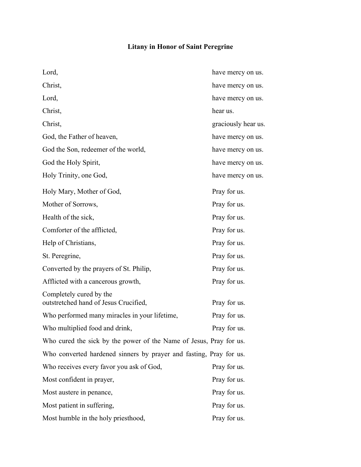# **Litany in Honor of Saint Peregrine**

| Lord,                                                              | have mercy on us.   |
|--------------------------------------------------------------------|---------------------|
| Christ,                                                            | have mercy on us.   |
| Lord,                                                              | have mercy on us.   |
| Christ,                                                            | hear us.            |
| Christ,                                                            | graciously hear us. |
| God, the Father of heaven,                                         | have mercy on us.   |
| God the Son, redeemer of the world,                                | have mercy on us.   |
| God the Holy Spirit,                                               | have mercy on us.   |
| Holy Trinity, one God,                                             | have mercy on us.   |
| Holy Mary, Mother of God,                                          | Pray for us.        |
| Mother of Sorrows,                                                 | Pray for us.        |
| Health of the sick,                                                | Pray for us.        |
| Comforter of the afflicted,                                        | Pray for us.        |
| Help of Christians,                                                | Pray for us.        |
| St. Peregrine,                                                     | Pray for us.        |
| Converted by the prayers of St. Philip,                            | Pray for us.        |
| Afflicted with a cancerous growth,                                 | Pray for us.        |
| Completely cured by the<br>outstretched hand of Jesus Crucified,   | Pray for us.        |
| Who performed many miracles in your lifetime,                      | Pray for us.        |
| Who multiplied food and drink,                                     | Pray for us.        |
| Who cured the sick by the power of the Name of Jesus, Pray for us. |                     |
| Who converted hardened sinners by prayer and fasting, Pray for us. |                     |
| Who receives every favor you ask of God,                           | Pray for us.        |
| Most confident in prayer,                                          | Pray for us.        |
| Most austere in penance,                                           | Pray for us.        |
| Most patient in suffering,                                         | Pray for us.        |
| Most humble in the holy priesthood,                                | Pray for us.        |